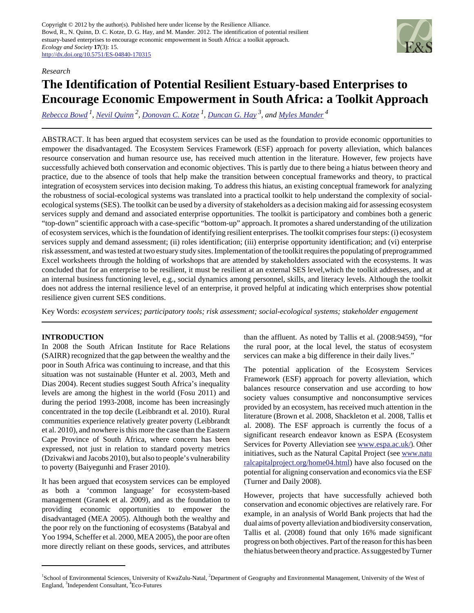

#### *Research*

# **The Identification of Potential Resilient Estuary-based Enterprises to Encourage Economic Empowerment in South Africa: a Toolkit Approach**

*[Rebecca Bowd](mailto:rebecca@greendoorgroup.co.za)<sup>1</sup> , [Nevil Quinn](mailto:nevil.quinn@uwe.ac.uk)<sup>2</sup> , [Donovan C. Kotze](mailto:kotzed@ukzn.ac.za)<sup>1</sup> , [Duncan G. Hay](mailto:hay@ukzn.ac.za) 3, and [Myles Mander](mailto:myles@eco-futures.co.za)<sup>4</sup>*

ABSTRACT. It has been argued that ecosystem services can be used as the foundation to provide economic opportunities to empower the disadvantaged. The Ecosystem Services Framework (ESF) approach for poverty alleviation, which balances resource conservation and human resource use, has received much attention in the literature. However, few projects have successfully achieved both conservation and economic objectives. This is partly due to there being a hiatus between theory and practice, due to the absence of tools that help make the transition between conceptual frameworks and theory, to practical integration of ecosystem services into decision making. To address this hiatus, an existing conceptual framework for analyzing the robustness of social-ecological systems was translated into a practical toolkit to help understand the complexity of socialecological systems (SES). The toolkit can be used by a diversity of stakeholders as a decision making aid for assessing ecosystem services supply and demand and associated enterprise opportunities. The toolkit is participatory and combines both a generic "top-down" scientific approach with a case-specific "bottom-up" approach. It promotes a shared understanding of the utilization of ecosystem services, which is the foundation of identifying resilient enterprises. The toolkit comprises four steps: (i) ecosystem services supply and demand assessment; (ii) roles identification; (iii) enterprise opportunity identification; and (vi) enterprise risk assessment, and was tested at two estuary study sites. Implementation of the toolkit requires the populating of preprogrammed Excel worksheets through the holding of workshops that are attended by stakeholders associated with the ecosystems. It was concluded that for an enterprise to be resilient, it must be resilient at an external SES level,which the toolkit addresses, and at an internal business functioning level, e.g., social dynamics among personnel, skills, and literacy levels. Although the toolkit does not address the internal resilience level of an enterprise, it proved helpful at indicating which enterprises show potential resilience given current SES conditions.

Key Words: *ecosystem services; participatory tools; risk assessment; social-ecological systems; stakeholder engagement*

# **INTRODUCTION**

In 2008 the South African Institute for Race Relations (SAIRR) recognized that the gap between the wealthy and the poor in South Africa was continuing to increase, and that this situation was not sustainable (Hunter et al. 2003, Meth and Dias 2004). Recent studies suggest South Africa's inequality levels are among the highest in the world (Fosu 2011) and during the period 1993-2008, income has been increasingly concentrated in the top decile (Leibbrandt et al. 2010). Rural communities experience relatively greater poverty (Leibbrandt et al. 2010), and nowhere is this more the case than the Eastern Cape Province of South Africa, where concern has been expressed, not just in relation to standard poverty metrics (Dzivakwi and Jacobs 2010), but also to people's vulnerability to poverty (Baiyegunhi and Fraser 2010).

It has been argued that ecosystem services can be employed as both a 'common language' for ecosystem-based management (Granek et al. 2009), and as the foundation to providing economic opportunities to empower the disadvantaged (MEA 2005). Although both the wealthy and the poor rely on the functioning of ecosystems (Batabyal and Yoo 1994, Scheffer et al. 2000, MEA 2005), the poor are often more directly reliant on these goods, services, and attributes than the affluent. As noted by Tallis et al. (2008:9459), "for the rural poor, at the local level, the status of ecosystem services can make a big difference in their daily lives."

The potential application of the Ecosystem Services Framework (ESF) approach for poverty alleviation, which balances resource conservation and use according to how society values consumptive and nonconsumptive services provided by an ecosystem, has received much attention in the literature (Brown et al. 2008, Shackleton et al. 2008, Tallis et al. 2008). The ESF approach is currently the focus of a significant research endeavor known as ESPA (Ecosystem Services for Poverty Alleviation see [www.espa.ac.uk/\)](http://www.espa.ac.uk/). Other initiatives, such as the Natural Capital Project (see [www.natu](http://www.naturalcapitalproject.org/home04.html) [ralcapitalproject.org/home04.html\)](http://www.naturalcapitalproject.org/home04.html) have also focused on the potential for aligning conservation and economics via the ESF (Turner and Daily 2008).

However, projects that have successfully achieved both conservation and economic objectives are relatively rare. For example, in an analysis of World Bank projects that had the dual aims of poverty alleviation and biodiversity conservation, Tallis et al. (2008) found that only 16% made significant progress on both objectives. Part of the reason for this has been the hiatus between theory and practice. As suggested by Turner

<sup>&</sup>lt;sup>1</sup>School of Environmental Sciences, University of KwaZulu-Natal, <sup>2</sup>Department of Geography and Environmental Management, University of the West of England, <sup>3</sup>Independent Consultant, <sup>4</sup>Eco-Futures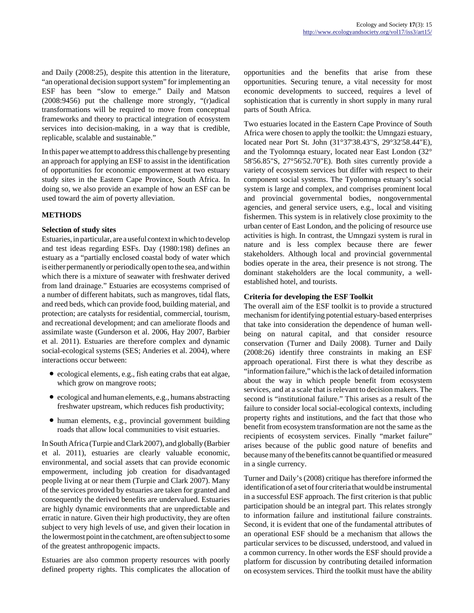and Daily (2008:25), despite this attention in the literature, "an operational decision support system" for implementing an ESF has been "slow to emerge." Daily and Matson (2008:9456) put the challenge more strongly, "(r)adical transformations will be required to move from conceptual frameworks and theory to practical integration of ecosystem services into decision-making, in a way that is credible, replicable, scalable and sustainable."

In this paper we attempt to address this challenge by presenting an approach for applying an ESF to assist in the identification of opportunities for economic empowerment at two estuary study sites in the Eastern Cape Province, South Africa. In doing so, we also provide an example of how an ESF can be used toward the aim of poverty alleviation.

#### **METHODS**

#### **Selection of study sites**

Estuaries, in particular, are a useful context in which to develop and test ideas regarding ESFs. Day (1980:198) defines an estuary as a "partially enclosed coastal body of water which is either permanently or periodically open to the sea, and within which there is a mixture of seawater with freshwater derived from land drainage." Estuaries are ecosystems comprised of a number of different habitats, such as mangroves, tidal flats, and reed beds, which can provide food, building material, and protection; are catalysts for residential, commercial, tourism, and recreational development; and can ameliorate floods and assimilate waste (Gunderson et al. 2006, Hay 2007, Barbier et al. 2011). Estuaries are therefore complex and dynamic social-ecological systems (SES; Anderies et al. 2004), where interactions occur between:

- ecological elements, e.g., fish eating crabs that eat algae, which grow on mangrove roots;
- ecological and human elements, e.g., humans abstracting freshwater upstream, which reduces fish productivity;
- human elements, e.g., provincial government building roads that allow local communities to visit estuaries.

In South Africa (Turpie and Clark 2007), and globally (Barbier et al. 2011), estuaries are clearly valuable economic, environmental, and social assets that can provide economic empowerment, including job creation for disadvantaged people living at or near them (Turpie and Clark 2007). Many of the services provided by estuaries are taken for granted and consequently the derived benefits are undervalued. Estuaries are highly dynamic environments that are unpredictable and erratic in nature. Given their high productivity, they are often subject to very high levels of use, and given their location in the lowermost point in the catchment, are often subject to some of the greatest anthropogenic impacts.

Estuaries are also common property resources with poorly defined property rights. This complicates the allocation of opportunities and the benefits that arise from these opportunities. Securing tenure, a vital necessity for most economic developments to succeed, requires a level of sophistication that is currently in short supply in many rural parts of South Africa.

Two estuaries located in the Eastern Cape Province of South Africa were chosen to apply the toolkit: the Umngazi estuary, located near Port St. John (31°37'38.43"S, 29°32'58.44"E), and the Tyolomnqa estuary, located near East London (32° 58'56.85"S, 27°56'52.70"E). Both sites currently provide a variety of ecosystem services but differ with respect to their component social systems. The Tyolomnqa estuary's social system is large and complex, and comprises prominent local and provincial governmental bodies, nongovernmental agencies, and general service users, e.g., local and visiting fishermen. This system is in relatively close proximity to the urban center of East London, and the policing of resource use activities is high. In contrast, the Umngazi system is rural in nature and is less complex because there are fewer stakeholders. Although local and provincial governmental bodies operate in the area, their presence is not strong. The dominant stakeholders are the local community, a wellestablished hotel, and tourists.

#### **Criteria for developing the ESF Toolkit**

The overall aim of the ESF toolkit is to provide a structured mechanism for identifying potential estuary-based enterprises that take into consideration the dependence of human wellbeing on natural capital, and that consider resource conservation (Turner and Daily 2008). Turner and Daily (2008:26) identify three constraints in making an ESF approach operational. First there is what they describe as "information failure," which is the lack of detailed information about the way in which people benefit from ecosystem services, and at a scale that is relevant to decision makers. The second is "institutional failure." This arises as a result of the failure to consider local social-ecological contexts, including property rights and institutions, and the fact that those who benefit from ecosystem transformation are not the same as the recipients of ecosystem services. Finally "market failure" arises because of the public good nature of benefits and because many of the benefits cannot be quantified or measured in a single currency.

Turner and Daily's (2008) critique has therefore informed the identification of a set of four criteria that would be instrumental in a successful ESF approach. The first criterion is that public participation should be an integral part. This relates strongly to information failure and institutional failure constraints. Second, it is evident that one of the fundamental attributes of an operational ESF should be a mechanism that allows the particular services to be discussed, understood, and valued in a common currency. In other words the ESF should provide a platform for discussion by contributing detailed information on ecosystem services. Third the toolkit must have the ability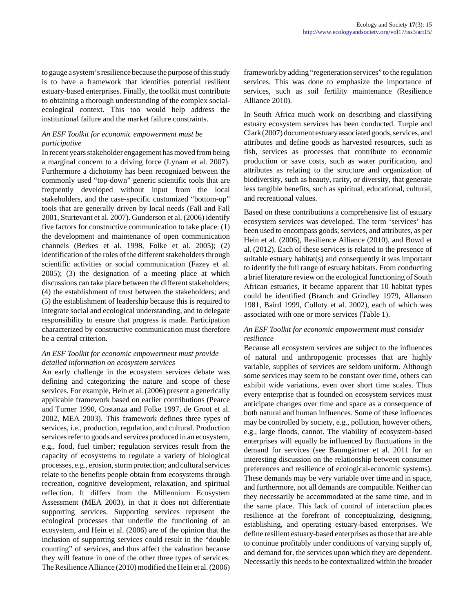to gauge a system's resilience because the purpose of this study is to have a framework that identifies potential resilient estuary-based enterprises. Finally, the toolkit must contribute to obtaining a thorough understanding of the complex socialecological context. This too would help address the institutional failure and the market failure constraints.

#### *An ESF Toolkit for economic empowerment must be participative*

In recent years stakeholder engagement has moved from being a marginal concern to a driving force (Lynam et al. 2007). Furthermore a dichotomy has been recognized between the commonly used "top-down" generic scientific tools that are frequently developed without input from the local stakeholders, and the case-specific customized "bottom-up" tools that are generally driven by local needs (Fall and Fall 2001, Sturtevant et al. 2007). Gunderson et al. (2006) identify five factors for constructive communication to take place: (1) the development and maintenance of open communication channels (Berkes et al. 1998, Folke et al. 2005); (2) identification of the roles of the different stakeholders through scientific activities or social communication (Fazey et al. 2005); (3) the designation of a meeting place at which discussions can take place between the different stakeholders; (4) the establishment of trust between the stakeholders; and (5) the establishment of leadership because this is required to integrate social and ecological understanding, and to delegate responsibility to ensure that progress is made. Participation characterized by constructive communication must therefore be a central criterion.

# *An ESF Toolkit for economic empowerment must provide detailed information on ecosystem services*

An early challenge in the ecosystem services debate was defining and categorizing the nature and scope of these services. For example, Hein et al. (2006) present a generically applicable framework based on earlier contributions (Pearce and Turner 1990, Costanza and Folke 1997, de Groot et al. 2002, MEA 2003). This framework defines three types of services, i.e., production, regulation, and cultural. Production services refer to goods and services produced in an ecosystem, e.g., food, fuel timber; regulation services result from the capacity of ecosystems to regulate a variety of biological processes, e.g., erosion, storm protection; and cultural services relate to the benefits people obtain from ecosystems through recreation, cognitive development, relaxation, and spiritual reflection. It differs from the Millennium Ecosystem Assessment (MEA 2003), in that it does not differentiate supporting services. Supporting services represent the ecological processes that underlie the functioning of an ecosystem, and Hein et al. (2006) are of the opinion that the inclusion of supporting services could result in the "double counting" of services, and thus affect the valuation because they will feature in one of the other three types of services. The Resilience Alliance (2010) modified the Hein et al. (2006) framework by adding "regeneration services" to the regulation services. This was done to emphasize the importance of services, such as soil fertility maintenance (Resilience Alliance 2010).

In South Africa much work on describing and classifying estuary ecosystem services has been conducted. Turpie and Clark (2007) document estuary associated goods, services, and attributes and define goods as harvested resources, such as fish, services as processes that contribute to economic production or save costs, such as water purification, and attributes as relating to the structure and organization of biodiversity, such as beauty, rarity, or diversity, that generate less tangible benefits, such as spiritual, educational, cultural, and recreational values.

Based on these contributions a comprehensive list of estuary ecosystem services was developed. The term 'services' has been used to encompass goods, services, and attributes, as per Hein et al. (2006), Resilience Alliance (2010), and Bowd et al. (2012). Each of these services is related to the presence of suitable estuary habitat(s) and consequently it was important to identify the full range of estuary habitats. From conducting a brief literature review on the ecological functioning of South African estuaries, it became apparent that 10 habitat types could be identified (Branch and Grindley 1979, Allanson 1981, Baird 1999, Colloty et al. 2002), each of which was associated with one or more services (Table 1).

#### *An ESF Toolkit for economic empowerment must consider resilience*

Because all ecosystem services are subject to the influences of natural and anthropogenic processes that are highly variable, supplies of services are seldom uniform. Although some services may seem to be constant over time, others can exhibit wide variations, even over short time scales. Thus every enterprise that is founded on ecosystem services must anticipate changes over time and space as a consequence of both natural and human influences. Some of these influences may be controlled by society, e.g., pollution, however others, e.g., large floods, cannot. The viability of ecosystem-based enterprises will equally be influenced by fluctuations in the demand for services (see Baumgärtner et al. 2011 for an interesting discussion on the relationship between consumer preferences and resilience of ecological-economic systems). These demands may be very variable over time and in space, and furthermore, not all demands are compatible. Neither can they necessarily be accommodated at the same time, and in the same place. This lack of control of interaction places resilience at the forefront of conceptualizing, designing, establishing, and operating estuary-based enterprises. We define resilient estuary-based enterprises as those that are able to continue profitably under conditions of varying supply of, and demand for, the services upon which they are dependent. Necessarily this needs to be contextualized within the broader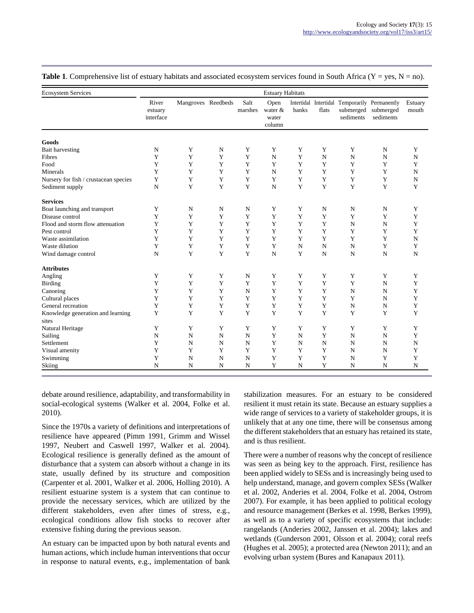| <b>Ecosystem Services</b>                  | <b>Estuary Habitats</b>       |                    |             |                 |                                    |                |             |                                                                         |                        |                  |
|--------------------------------------------|-------------------------------|--------------------|-------------|-----------------|------------------------------------|----------------|-------------|-------------------------------------------------------------------------|------------------------|------------------|
|                                            | River<br>estuary<br>interface | Mangroves Reedbeds |             | Salt<br>marshes | Open<br>water &<br>water<br>column | banks          | flats       | Intertidal Intertidal Temporarily Permanently<br>submerged<br>sediments | submerged<br>sediments | Estuary<br>mouth |
| Goods                                      |                               |                    |             |                 |                                    |                |             |                                                                         |                        |                  |
| <b>Bait harvesting</b>                     | N                             | Y                  | N           | Y               | Y                                  | Y              | Y           | Y                                                                       | N                      | Y                |
| Fibres                                     | Y                             | Y                  | Y           | Y               | $\mathbf N$                        | Y              | N           | N                                                                       | N                      | N                |
| Food                                       | Y                             | Y                  | Y           | Y               | Y                                  | Y              | Y           | Y                                                                       | Y                      | Y                |
| Minerals                                   | Y                             | Y                  | Y           | Y               | $\mathbf N$                        | Y              | Y           | Y                                                                       | Y                      | $\mathbf N$      |
| Nursery for fish / crustacean species      | Y                             | Y                  | Y           | Y               | Y                                  | Y              | Y           | Y                                                                       | Y                      | $\mathbf N$      |
| Sediment supply                            | ${\bf N}$                     | Y                  | Y           | Y               | $\mathbf N$                        | Y              | Y           | Y                                                                       | Y                      | Y                |
| <b>Services</b>                            |                               |                    |             |                 |                                    |                |             |                                                                         |                        |                  |
| Boat launching and transport               | Y                             | N                  | N           | N               | Y                                  | Y              | N           | N                                                                       | N                      | Y                |
| Disease control                            | Y                             | Y                  | Y           | Y               | Y                                  | Y              | Y           | Y                                                                       | Y                      | $\mathbf Y$      |
| Flood and storm flow attenuation           | Y                             | Y                  | Y           | Y               | Y                                  | Y              | Y           | N                                                                       | N                      | Y                |
| Pest control                               | Y                             | Y                  | Y           | Y               | Y                                  | Y              | Y           | Y                                                                       | Y                      | $\mathbf Y$      |
| Waste assimilation                         | Y                             | Y                  | Y           | Y               | Y                                  | Y              | Y           | Y                                                                       | Y                      | $\mathbf N$      |
| Waste dilution                             | Y                             | Y                  | Y           | Y               | Y                                  | N              | $\mathbf N$ | N                                                                       | Y                      | Y                |
| Wind damage control                        | N                             | Y                  | Y           | Y               | $\mathbf N$                        | Y              | $\mathbf N$ | N                                                                       | N                      | N                |
| <b>Attributes</b>                          |                               |                    |             |                 |                                    |                |             |                                                                         |                        |                  |
| Angling                                    | $\mathbf Y$                   | Y                  | Y           | N               | Y                                  | Y              | Y           | Y                                                                       | Y                      | Y                |
| <b>Birding</b>                             | Y                             | Y                  | Y           | Y               | Y                                  | Y              | Y           | Y                                                                       | $\mathbf N$            | Y                |
| Canoeing                                   | Y                             | Y                  | Y           | N               | Y                                  | Y              | Y           | N                                                                       | N                      | Y                |
| Cultural places                            | Y                             | Y                  | Y           | Y               | Y                                  | Y              | Y           | Y                                                                       | N                      | Y                |
| General recreation                         | Y                             | Y                  | Y           | Y               | Y                                  | Y              | Y           | N                                                                       | N                      | Y                |
| Knowledge generation and learning<br>sites | Y                             | Y                  | Y           | Y               | Y                                  | Y              | Y           | Y                                                                       | Y                      | Y                |
| Natural Heritage                           | Y                             | Y                  | Y           | Y               | Y                                  | Y              | Y           | Y                                                                       | Y                      | Y                |
| Sailing                                    | $\mathbf N$                   | N                  | $\mathbf N$ | N               | Y                                  | $\overline{N}$ | Y           | $\mathbf N$                                                             | N                      | Y                |
| Settlement                                 | Y                             | N                  | N           | N               | Y                                  | N              | $\mathbf N$ | N                                                                       | N                      | $\mathbf N$      |
| Visual amenity                             | Y                             | Y                  | Y           | Y               | Y                                  | Y              | Y           | N                                                                       | N                      | Y                |
| Swimming                                   | Y                             | N                  | $\mathbf N$ | N               | Y                                  | Y              | Y           | N                                                                       | Y                      | Y                |
| Skiing                                     | N                             | N                  | N           | N               | Y                                  | N              | Y           | N                                                                       | N                      | N                |

**Table 1**. Comprehensive list of estuary habitats and associated ecosystem services found in South Africa ( $Y = yes$ ,  $N = no$ ).

debate around resilience, adaptability, and transformability in social-ecological systems (Walker et al. 2004, Folke et al. 2010).

Since the 1970s a variety of definitions and interpretations of resilience have appeared (Pimm 1991, Grimm and Wissel 1997, Neubert and Caswell 1997, Walker et al. 2004). Ecological resilience is generally defined as the amount of disturbance that a system can absorb without a change in its state, usually defined by its structure and composition (Carpenter et al. 2001, Walker et al. 2006, Holling 2010). A resilient estuarine system is a system that can continue to provide the necessary services, which are utilized by the different stakeholders, even after times of stress, e.g., ecological conditions allow fish stocks to recover after extensive fishing during the previous season.

An estuary can be impacted upon by both natural events and human actions, which include human interventions that occur in response to natural events, e.g., implementation of bank stabilization measures. For an estuary to be considered resilient it must retain its state. Because an estuary supplies a wide range of services to a variety of stakeholder groups, it is unlikely that at any one time, there will be consensus among the different stakeholders that an estuary has retained its state, and is thus resilient.

There were a number of reasons why the concept of resilience was seen as being key to the approach. First, resilience has been applied widely to SESs and is increasingly being used to help understand, manage, and govern complex SESs (Walker et al. 2002, Anderies et al. 2004, Folke et al. 2004, Ostrom 2007). For example, it has been applied to political ecology and resource management (Berkes et al. 1998, Berkes 1999), as well as to a variety of specific ecosystems that include: rangelands (Anderies 2002, Janssen et al. 2004); lakes and wetlands (Gunderson 2001, Olsson et al. 2004); coral reefs (Hughes et al. 2005); a protected area (Newton 2011); and an evolving urban system (Bures and Kanapaux 2011).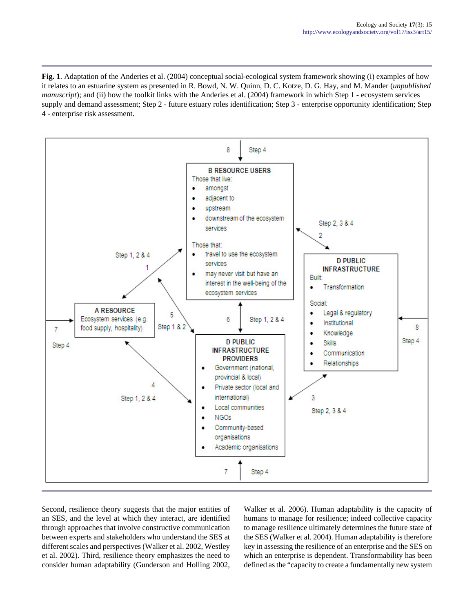**Fig. 1**. Adaptation of the Anderies et al. (2004) conceptual social-ecological system framework showing (i) examples of how it relates to an estuarine system as presented in R. Bowd, N. W. Quinn, D. C. Kotze, D. G. Hay, and M. Mander (*unpublished manuscript*); and (ii) how the toolkit links with the Anderies et al. (2004) framework in which Step 1 - ecosystem services supply and demand assessment; Step 2 - future estuary roles identification; Step 3 - enterprise opportunity identification; Step 4 - enterprise risk assessment.



Second, resilience theory suggests that the major entities of an SES, and the level at which they interact, are identified through approaches that involve constructive communication between experts and stakeholders who understand the SES at different scales and perspectives (Walker et al. 2002, Westley et al. 2002). Third, resilience theory emphasizes the need to consider human adaptability (Gunderson and Holling 2002,

Walker et al. 2006). Human adaptability is the capacity of humans to manage for resilience; indeed collective capacity to manage resilience ultimately determines the future state of the SES (Walker et al. 2004). Human adaptability is therefore key in assessing the resilience of an enterprise and the SES on which an enterprise is dependent. Transformability has been defined as the "capacity to create a fundamentally new system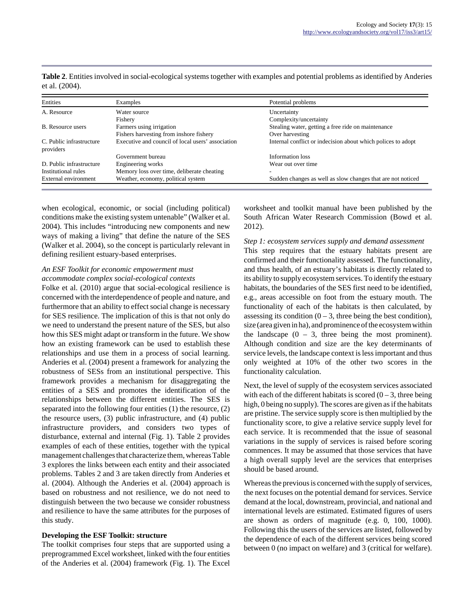| Entities                              | Examples                                          | Potential problems                                           |
|---------------------------------------|---------------------------------------------------|--------------------------------------------------------------|
| A. Resource                           | Water source                                      | Uncertainty                                                  |
|                                       | Fishery                                           | Complexity/uncertainty                                       |
| <b>B.</b> Resource users              | Farmers using irrigation                          | Stealing water, getting a free ride on maintenance           |
|                                       | Fishers harvesting from inshore fishery           | Over harvesting                                              |
| C. Public infrastructure<br>providers | Executive and council of local users' association | Internal conflict or indecision about which polices to adopt |
|                                       | Government bureau                                 | Information loss                                             |
| D. Public infrastructure              | Engineering works                                 | Wear out over time.                                          |
| Institutional rules                   | Memory loss over time, deliberate cheating        |                                                              |
| External environment                  | Weather, economy, political system                | Sudden changes as well as slow changes that are not noticed  |

**Table 2**. Entities involved in social-ecological systems together with examples and potential problems as identified by Anderies et al. (2004).

when ecological, economic, or social (including political) conditions make the existing system untenable" (Walker et al. 2004). This includes "introducing new components and new ways of making a living" that define the nature of the SES (Walker et al. 2004), so the concept is particularly relevant in defining resilient estuary-based enterprises.

#### *An ESF Toolkit for economic empowerment must accommodate complex social-ecological contexts*

Folke et al. (2010) argue that social-ecological resilience is concerned with the interdependence of people and nature, and furthermore that an ability to effect social change is necessary for SES resilience. The implication of this is that not only do we need to understand the present nature of the SES, but also how this SES might adapt or transform in the future. We show how an existing framework can be used to establish these relationships and use them in a process of social learning. Anderies et al. (2004) present a framework for analyzing the robustness of SESs from an institutional perspective. This framework provides a mechanism for disaggregating the entities of a SES and promotes the identification of the relationships between the different entities. The SES is separated into the following four entities (1) the resource, (2) the resource users, (3) public infrastructure, and (4) public infrastructure providers, and considers two types of disturbance, external and internal (Fig. 1). Table 2 provides examples of each of these entities, together with the typical management challenges that characterize them, whereas Table 3 explores the links between each entity and their associated problems. Tables 2 and 3 are taken directly from Anderies et al. (2004). Although the Anderies et al. (2004) approach is based on robustness and not resilience, we do not need to distinguish between the two because we consider robustness and resilience to have the same attributes for the purposes of this study.

# **Developing the ESF Toolkit: structure**

The toolkit comprises four steps that are supported using a preprogrammed Excel worksheet, linked with the four entities of the Anderies et al. (2004) framework (Fig. 1). The Excel worksheet and toolkit manual have been published by the South African Water Research Commission (Bowd et al. 2012).

# *Step 1: ecosystem services supply and demand assessment*

This step requires that the estuary habitats present are confirmed and their functionality assessed. The functionality, and thus health, of an estuary's habitats is directly related to its ability to supply ecosystem services. To identify the estuary habitats, the boundaries of the SES first need to be identified, e.g., areas accessible on foot from the estuary mouth. The functionality of each of the habitats is then calculated, by assessing its condition  $(0 - 3)$ , three being the best condition), size (area given in ha), and prominence of the ecosystem within the landscape  $(0 - 3)$ , three being the most prominent). Although condition and size are the key determinants of service levels, the landscape context is less important and thus only weighted at 10% of the other two scores in the functionality calculation.

Next, the level of supply of the ecosystem services associated with each of the different habitats is scored  $(0 - 3)$ , three being high, 0 being no supply). The scores are given as if the habitats are pristine. The service supply score is then multiplied by the functionality score, to give a relative service supply level for each service. It is recommended that the issue of seasonal variations in the supply of services is raised before scoring commences. It may be assumed that those services that have a high overall supply level are the services that enterprises should be based around.

Whereas the previous is concerned with the supply of services, the next focuses on the potential demand for services. Service demand at the local, downstream, provincial, and national and international levels are estimated. Estimated figures of users are shown as orders of magnitude (e.g. 0, 100, 1000). Following this the users of the services are listed, followed by the dependence of each of the different services being scored between 0 (no impact on welfare) and 3 (critical for welfare).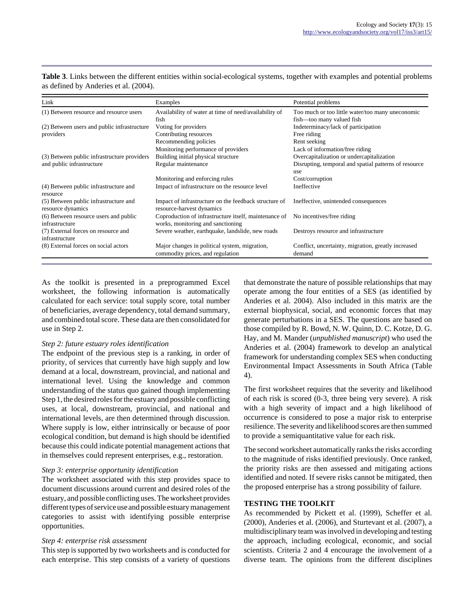| Link                                                                     | Examples                                                                                          | Potential problems                                                                                                                           |
|--------------------------------------------------------------------------|---------------------------------------------------------------------------------------------------|----------------------------------------------------------------------------------------------------------------------------------------------|
| (1) Between resource and resource users                                  | Availability of water at time of need/availability of<br>fish                                     | Too much or too little water/too many uneconomic<br>fish-too many valued fish                                                                |
| (2) Between users and public infrastructure<br>providers                 | Voting for providers<br>Contributing resources<br>Recommending policies                           | Indeterminacy/lack of participation<br>Free riding<br>Rent seeking                                                                           |
| (3) Between public infrastructure providers<br>and public infrastructure | Monitoring performance of providers<br>Building initial physical structure<br>Regular maintenance | Lack of information/free riding<br>Overcapitalization or undercapitalization<br>Disrupting, temporal and spatial patterns of resource<br>use |
| (4) Between public infrastructure and<br>resource                        | Monitoring and enforcing rules<br>Impact of infrastructure on the resource level                  | Cost/corruption<br>Ineffective                                                                                                               |
| (5) Between public infrastructure and<br>resource dynamics               | Impact of infrastructure on the feedback structure of<br>resource-harvest dynamics                | Ineffective, unintended consequences                                                                                                         |
| (6) Between resource users and public<br>infrastructure                  | Coproduction of infrastructure itself, maintenance of<br>works, monitoring and sanctioning        | No incentives/free riding                                                                                                                    |
| (7) External forces on resource and<br>infrastructure                    | Severe weather, earthquake, landslide, new roads                                                  | Destroys resource and infrastructure                                                                                                         |
| (8) External forces on social actors                                     | Major changes in political system, migration,<br>commodity prices, and regulation                 | Conflict, uncertainty, migration, greatly increased<br>demand                                                                                |

**Table 3**. Links between the different entities within social-ecological systems, together with examples and potential problems as defined by Anderies et al. (2004).

As the toolkit is presented in a preprogrammed Excel worksheet, the following information is automatically calculated for each service: total supply score, total number of beneficiaries, average dependency, total demand summary, and combined total score. These data are then consolidated for use in Step 2.

#### *Step 2: future estuary roles identification*

The endpoint of the previous step is a ranking, in order of priority, of services that currently have high supply and low demand at a local, downstream, provincial, and national and international level. Using the knowledge and common understanding of the status quo gained though implementing Step 1, the desired roles for the estuary and possible conflicting uses, at local, downstream, provincial, and national and international levels, are then determined through discussion. Where supply is low, either intrinsically or because of poor ecological condition, but demand is high should be identified because this could indicate potential management actions that in themselves could represent enterprises, e.g., restoration.

#### *Step 3: enterprise opportunity identification*

The worksheet associated with this step provides space to document discussions around current and desired roles of the estuary, and possible conflicting uses. The worksheet provides different types of service use and possible estuary management categories to assist with identifying possible enterprise opportunities.

# *Step 4: enterprise risk assessment*

This step is supported by two worksheets and is conducted for each enterprise. This step consists of a variety of questions that demonstrate the nature of possible relationships that may operate among the four entities of a SES (as identified by Anderies et al. 2004). Also included in this matrix are the external biophysical, social, and economic forces that may generate perturbations in a SES. The questions are based on those compiled by R. Bowd, N. W. Quinn, D. C. Kotze, D. G. Hay, and M. Mander (*unpublished manuscript*) who used the Anderies et al. (2004) framework to develop an analytical framework for understanding complex SES when conducting Environmental Impact Assessments in South Africa (Table 4).

The first worksheet requires that the severity and likelihood of each risk is scored (0-3, three being very severe). A risk with a high severity of impact and a high likelihood of occurrence is considered to pose a major risk to enterprise resilience. The severity and likelihood scores are then summed to provide a semiquantitative value for each risk.

The second worksheet automatically ranks the risks according to the magnitude of risks identified previously. Once ranked, the priority risks are then assessed and mitigating actions identified and noted. If severe risks cannot be mitigated, then the proposed enterprise has a strong possibility of failure.

# **TESTING THE TOOLKIT**

As recommended by Pickett et al. (1999), Scheffer et al. (2000), Anderies et al. (2006), and Sturtevant et al. (2007), a multidisciplinary team was involved in developing and testing the approach, including ecological, economic, and social scientists. Criteria 2 and 4 encourage the involvement of a diverse team. The opinions from the different disciplines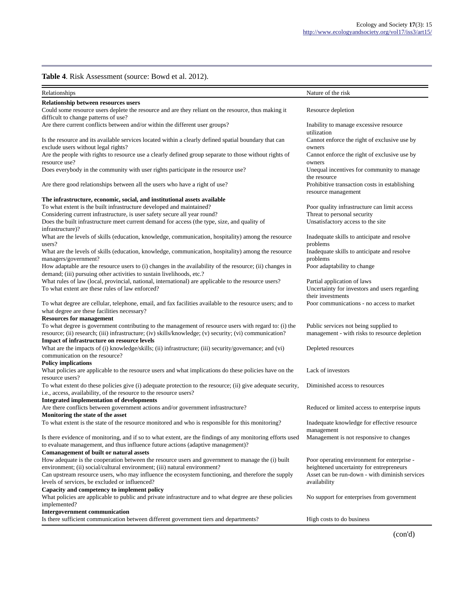#### **Table 4**. Risk Assessment (source: Bowd et al. 2012).

| Relationships                                                                                                                                                                                                    | Nature of the risk                                                                         |
|------------------------------------------------------------------------------------------------------------------------------------------------------------------------------------------------------------------|--------------------------------------------------------------------------------------------|
| <b>Relationship between resources users</b>                                                                                                                                                                      |                                                                                            |
| Could some resource users deplete the resource and are they reliant on the resource, thus making it<br>difficult to change patterns of use?                                                                      | Resource depletion                                                                         |
| Are there current conflicts between and/or within the different user groups?                                                                                                                                     | Inability to manage excessive resource<br>utilization                                      |
| Is the resource and its available services located within a clearly defined spatial boundary that can<br>exclude users without legal rights?                                                                     | Cannot enforce the right of exclusive use by<br>owners                                     |
| Are the people with rights to resource use a clearly defined group separate to those without rights of<br>resource use?                                                                                          | Cannot enforce the right of exclusive use by<br>owners                                     |
| Does everybody in the community with user rights participate in the resource use?                                                                                                                                | Unequal incentives for community to manage<br>the resource                                 |
| Are there good relationships between all the users who have a right of use?                                                                                                                                      | Prohibitive transaction costs in establishing<br>resource management                       |
| The infrastructure, economic, social, and institutional assets available                                                                                                                                         |                                                                                            |
| To what extent is the built infrastructure developed and maintained?                                                                                                                                             | Poor quality infrastructure can limit access                                               |
| Considering current infrastructure, is user safety secure all year round?                                                                                                                                        | Threat to personal security                                                                |
| Does the built infrastructure meet current demand for access (the type, size, and quality of<br>infrastructure)?                                                                                                 | Unsatisfactory access to the site                                                          |
| What are the levels of skills (education, knowledge, communication, hospitality) among the resource<br>users?                                                                                                    | Inadequate skills to anticipate and resolve<br>problems                                    |
| What are the levels of skills (education, knowledge, communication, hospitality) among the resource<br>managers/government?                                                                                      | Inadequate skills to anticipate and resolve<br>problems                                    |
| How adaptable are the resource users to (i) changes in the availability of the resource; (ii) changes in<br>demand; (iii) pursuing other activities to sustain livelihoods, etc.?                                | Poor adaptability to change                                                                |
| What rules of law (local, provincial, national, international) are applicable to the resource users?                                                                                                             | Partial application of laws                                                                |
| To what extent are these rules of law enforced?                                                                                                                                                                  | Uncertainty for investors and users regarding<br>their investments                         |
| To what degree are cellular, telephone, email, and fax facilities available to the resource users; and to<br>what degree are these facilities necessary?                                                         | Poor communications - no access to market                                                  |
| <b>Resources for management</b>                                                                                                                                                                                  |                                                                                            |
| To what degree is government contributing to the management of resource users with regard to: (i) the<br>resource; (ii) research; (iii) infrastructure; (iv) skills/knowledge; (v) security; (vi) communication? | Public services not being supplied to<br>management - with risks to resource depletion     |
| <b>Impact of infrastructure on resource levels</b>                                                                                                                                                               |                                                                                            |
| What are the impacts of (i) knowledge/skills; (ii) infrastructure; (iii) security/governance; and (vi)<br>communication on the resource?                                                                         | Depleted resources                                                                         |
| <b>Policy implications</b>                                                                                                                                                                                       |                                                                                            |
| What policies are applicable to the resource users and what implications do these policies have on the<br>resource users?                                                                                        | Lack of investors                                                                          |
| To what extent do these policies give (i) adequate protection to the resource; (ii) give adequate security,<br>i.e., access, availability, of the resource to the resource users?                                | Diminished access to resources                                                             |
| <b>Integrated implementation of developments</b>                                                                                                                                                                 |                                                                                            |
| Are there conflicts between government actions and/or government infrastructure?<br>Monitoring the state of the asset                                                                                            | Reduced or limited access to enterprise inputs                                             |
| To what extent is the state of the resource monitored and who is responsible for this monitoring?                                                                                                                | Inadequate knowledge for effective resource<br>management                                  |
| Is there evidence of monitoring, and if so to what extent, are the findings of any monitoring efforts used<br>to evaluate management, and thus influence future actions (adaptive management)?                   | Management is not responsive to changes                                                    |
| <b>Comanagement of built or natural assets</b>                                                                                                                                                                   |                                                                                            |
| How adequate is the cooperation between the resource users and government to manage the (i) built                                                                                                                | Poor operating environment for enterprise -                                                |
| environment; (ii) social/cultural environment; (iii) natural environment?<br>Can upstream resource users, who may influence the ecosystem functioning, and therefore the supply                                  | heightened uncertainty for entrepreneurs<br>Asset can be run-down - with diminish services |
| levels of services, be excluded or influenced?                                                                                                                                                                   | availability                                                                               |
| Capacity and competency to implement policy                                                                                                                                                                      |                                                                                            |
| What policies are applicable to public and private infrastructure and to what degree are these policies<br>implemented?                                                                                          | No support for enterprises from government                                                 |
| <b>Intergovernment communication</b>                                                                                                                                                                             |                                                                                            |
| Is there sufficient communication between different government tiers and departments?                                                                                                                            | High costs to do business                                                                  |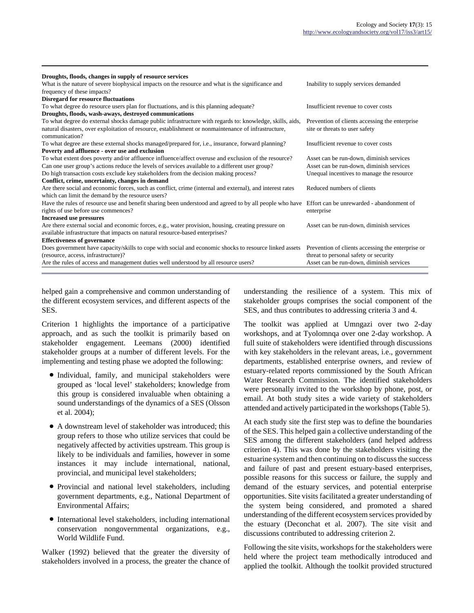| Droughts, floods, changes in supply of resource services                                                               |                                                   |
|------------------------------------------------------------------------------------------------------------------------|---------------------------------------------------|
| What is the nature of severe biophysical impacts on the resource and what is the significance and                      | Inability to supply services demanded             |
| frequency of these impacts?                                                                                            |                                                   |
| <b>Disregard for resource fluctuations</b>                                                                             |                                                   |
| To what degree do resource users plan for fluctuations, and is this planning adequate?                                 | Insufficient revenue to cover costs               |
| Droughts, floods, wash-aways, destroyed communications                                                                 |                                                   |
| To what degree do external shocks damage public infrastructure with regards to: knowledge, skills, aids,               | Prevention of clients accessing the enterprise    |
| natural disasters, over exploitation of resource, establishment or nonmaintenance of infrastructure,<br>communication? | site or threats to user safety                    |
| To what degree are these external shocks managed/prepared for, <i>i.e.</i> , insurance, forward planning?              | Insufficient revenue to cover costs               |
| Poverty and affluence - over use and exclusion                                                                         |                                                   |
| To what extent does poverty and/or affluence influence/affect overuse and exclusion of the resource?                   | Asset can be run-down, diminish services          |
| Can one user group's actions reduce the levels of services available to a different user group?                        | Asset can be run-down, diminish services          |
| Do high transaction costs exclude key stakeholders from the decision making process?                                   | Unequal incentives to manage the resource         |
| Conflict, crime, uncertainty, changes in demand                                                                        |                                                   |
| Are there social and economic forces, such as conflict, crime (internal and external), and interest rates              | Reduced numbers of clients                        |
| which can limit the demand by the resource users?                                                                      |                                                   |
| Have the rules of resource use and benefit sharing been understood and agreed to by all people who have                | Effort can be unrewarded - abandonment of         |
| rights of use before use commences?                                                                                    | enterprise                                        |
| <b>Increased use pressures</b>                                                                                         |                                                   |
| Are there external social and economic forces, e.g., water provision, housing, creating pressure on                    | Asset can be run-down, diminish services          |
| available infrastructure that impacts on natural resource-based enterprises?                                           |                                                   |
| <b>Effectiveness of governance</b>                                                                                     |                                                   |
| Does government have capacity/skills to cope with social and economic shocks to resource linked assets                 | Prevention of clients accessing the enterprise or |
| (resource, access, infrastructure)?                                                                                    | threat to personal safety or security             |
| Are the rules of access and management duties well understood by all resource users?                                   | Asset can be run-down, diminish services          |
|                                                                                                                        |                                                   |

helped gain a comprehensive and common understanding of the different ecosystem services, and different aspects of the SES.

Criterion 1 highlights the importance of a participative approach, and as such the toolkit is primarily based on stakeholder engagement. Leemans (2000) identified stakeholder groups at a number of different levels. For the implementing and testing phase we adopted the following:

- Individual, family, and municipal stakeholders were grouped as 'local level' stakeholders; knowledge from this group is considered invaluable when obtaining a sound understandings of the dynamics of a SES (Olsson et al. 2004);
- A downstream level of stakeholder was introduced; this group refers to those who utilize services that could be negatively affected by activities upstream. This group is likely to be individuals and families, however in some instances it may include international, national, provincial, and municipal level stakeholders;
- Provincial and national level stakeholders, including government departments, e.g., National Department of Environmental Affairs;
- International level stakeholders, including international conservation nongovernmental organizations, e.g., World Wildlife Fund.

Walker (1992) believed that the greater the diversity of stakeholders involved in a process, the greater the chance of

understanding the resilience of a system. This mix of stakeholder groups comprises the social component of the SES, and thus contributes to addressing criteria 3 and 4.

The toolkit was applied at Umngazi over two 2-day workshops, and at Tyolomnqa over one 2-day workshop. A full suite of stakeholders were identified through discussions with key stakeholders in the relevant areas, i.e., government departments, established enterprise owners, and review of estuary-related reports commissioned by the South African Water Research Commission. The identified stakeholders were personally invited to the workshop by phone, post, or email. At both study sites a wide variety of stakeholders attended and actively participated in the workshops (Table 5).

At each study site the first step was to define the boundaries of the SES. This helped gain a collective understanding of the SES among the different stakeholders (and helped address criterion 4). This was done by the stakeholders visiting the estuarine system and then continuing on to discuss the success and failure of past and present estuary-based enterprises, possible reasons for this success or failure, the supply and demand of the estuary services, and potential enterprise opportunities. Site visits facilitated a greater understanding of the system being considered, and promoted a shared understanding of the different ecosystem services provided by the estuary (Deconchat et al. 2007). The site visit and discussions contributed to addressing criterion 2.

Following the site visits, workshops for the stakeholders were held where the project team methodically introduced and applied the toolkit. Although the toolkit provided structured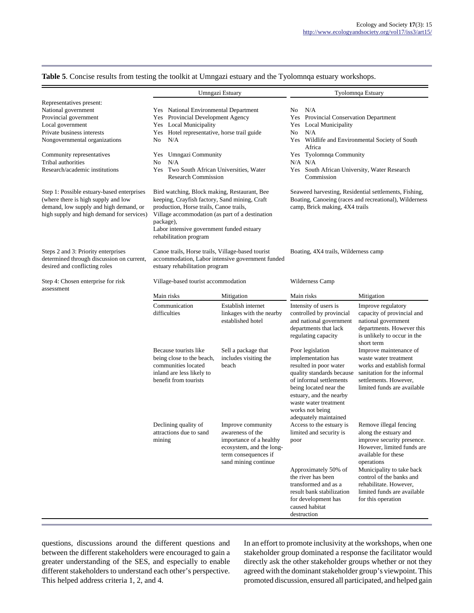|                                                                                                                                                                          |                                                                                                                                                                                                                                                                                 | Umngazi Estuary                                                                                                                              | Tyolomnqa Estuary                                                                                                                                                                                                                                  |                                                                                                                                                                                                                                                                                          |  |  |
|--------------------------------------------------------------------------------------------------------------------------------------------------------------------------|---------------------------------------------------------------------------------------------------------------------------------------------------------------------------------------------------------------------------------------------------------------------------------|----------------------------------------------------------------------------------------------------------------------------------------------|----------------------------------------------------------------------------------------------------------------------------------------------------------------------------------------------------------------------------------------------------|------------------------------------------------------------------------------------------------------------------------------------------------------------------------------------------------------------------------------------------------------------------------------------------|--|--|
| Representatives present:<br>National government<br>Provincial government<br>Local government<br>Private business interests<br>Nongovernmental organizations              | Yes National Environmental Department<br>Provincial Development Agency<br>Yes<br><b>Local Municipality</b><br>Yes<br>Hotel representative, horse trail guide<br>Yes<br>N/A<br>No                                                                                                |                                                                                                                                              | N/A<br>No.<br><b>Provincial Conservation Department</b><br>Yes<br>Local Municipality<br>Yes<br>N/A<br>No<br>Yes Wildlife and Environmental Society of South<br>Africa                                                                              |                                                                                                                                                                                                                                                                                          |  |  |
| Community representatives<br>Tribal authorities<br>Research/academic institutions                                                                                        | Yes Umngazi Community<br>N/A<br>No<br>Two South African Universities, Water<br>Yes<br><b>Research Commission</b>                                                                                                                                                                |                                                                                                                                              | Yes Tyolomnqa Community<br>$N/A$ $N/A$<br>Yes South African University, Water Research<br>Commission                                                                                                                                               |                                                                                                                                                                                                                                                                                          |  |  |
| Step 1: Possible estuary-based enterprises<br>(where there is high supply and low<br>demand, low supply and high demand, or<br>high supply and high demand for services) | Bird watching, Block making, Restaurant, Bee<br>keeping, Crayfish factory, Sand mining, Craft<br>production, Horse trails, Canoe trails,<br>Village accommodation (as part of a destination<br>package),<br>Labor intensive government funded estuary<br>rehabilitation program |                                                                                                                                              | Seaweed harvesting, Residential settlements, Fishing,<br>Boating, Canoeing (races and recreational), Wilderness<br>camp, Brick making, 4X4 trails                                                                                                  |                                                                                                                                                                                                                                                                                          |  |  |
| Steps 2 and 3: Priority enterprises<br>determined through discussion on current,<br>desired and conflicting roles                                                        | Canoe trails, Horse trails, Village-based tourist<br>estuary rehabilitation program                                                                                                                                                                                             | accommodation, Labor intensive government funded                                                                                             | Boating, 4X4 trails, Wilderness camp                                                                                                                                                                                                               |                                                                                                                                                                                                                                                                                          |  |  |
| Step 4: Chosen enterprise for risk<br>assessment                                                                                                                         | Village-based tourist accommodation                                                                                                                                                                                                                                             |                                                                                                                                              | Wilderness Camp                                                                                                                                                                                                                                    |                                                                                                                                                                                                                                                                                          |  |  |
|                                                                                                                                                                          | Main risks                                                                                                                                                                                                                                                                      | Mitigation                                                                                                                                   | Main risks                                                                                                                                                                                                                                         | Mitigation                                                                                                                                                                                                                                                                               |  |  |
|                                                                                                                                                                          | Communication<br>difficulties                                                                                                                                                                                                                                                   | Establish internet<br>linkages with the nearby<br>established hotel                                                                          | Intensity of users is<br>controlled by provincial<br>and national government<br>departments that lack<br>regulating capacity                                                                                                                       | Improve regulatory<br>capacity of provincial and<br>national government<br>departments. However this<br>is unlikely to occur in the<br>short term                                                                                                                                        |  |  |
|                                                                                                                                                                          | Because tourists like<br>being close to the beach,<br>communities located<br>inland are less likely to<br>benefit from tourists                                                                                                                                                 | Sell a package that<br>includes visiting the<br>beach                                                                                        | Poor legislation<br>implementation has<br>resulted in poor water<br>quality standards because<br>of informal settlements<br>being located near the<br>estuary, and the nearby<br>waste water treatment<br>works not being<br>adequately maintained | Improve maintenance of<br>waste water treatment<br>works and establish formal<br>sanitation for the informal<br>settlements. However,<br>limited funds are available                                                                                                                     |  |  |
|                                                                                                                                                                          | Declining quality of<br>attractions due to sand<br>mining                                                                                                                                                                                                                       | Improve community<br>awareness of the<br>importance of a healthy<br>ecosystem, and the long-<br>term consequences if<br>sand mining continue | Access to the estuary is<br>limited and security is<br>poor<br>Approximately 50% of<br>the river has been<br>transformed and as a<br>result bank stabilization<br>for development has<br>caused habitat<br>destruction                             | Remove illegal fencing<br>along the estuary and<br>improve security presence.<br>However, limited funds are<br>available for these<br>operations<br>Municipality to take back<br>control of the banks and<br>rehabilitate. However.<br>limited funds are available<br>for this operation |  |  |

**Table 5**. Concise results from testing the toolkit at Umngazi estuary and the Tyolomnqa estuary workshops.

questions, discussions around the different questions and between the different stakeholders were encouraged to gain a greater understanding of the SES, and especially to enable different stakeholders to understand each other's perspective. This helped address criteria 1, 2, and 4.

In an effort to promote inclusivity at the workshops, when one stakeholder group dominated a response the facilitator would directly ask the other stakeholder groups whether or not they agreed with the dominant stakeholder group's viewpoint. This promoted discussion, ensured all participated, and helped gain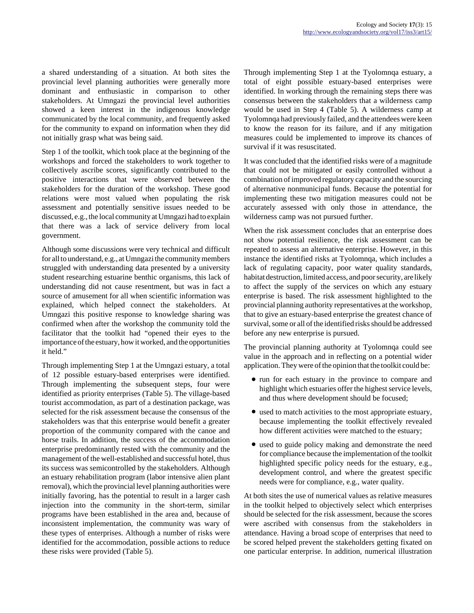a shared understanding of a situation. At both sites the provincial level planning authorities were generally more dominant and enthusiastic in comparison to other stakeholders. At Umngazi the provincial level authorities showed a keen interest in the indigenous knowledge communicated by the local community, and frequently asked for the community to expand on information when they did not initially grasp what was being said.

Step 1 of the toolkit, which took place at the beginning of the workshops and forced the stakeholders to work together to collectively ascribe scores, significantly contributed to the positive interactions that were observed between the stakeholders for the duration of the workshop. These good relations were most valued when populating the risk assessment and potentially sensitive issues needed to be discussed, e.g., the local community at Umngazi had to explain that there was a lack of service delivery from local government.

Although some discussions were very technical and difficult for all to understand, e.g., at Umngazi the community members struggled with understanding data presented by a university student researching estuarine benthic organisms, this lack of understanding did not cause resentment, but was in fact a source of amusement for all when scientific information was explained, which helped connect the stakeholders. At Umngazi this positive response to knowledge sharing was confirmed when after the workshop the community told the facilitator that the toolkit had "opened their eyes to the importance of the estuary, how it worked, and the opportunities it held."

Through implementing Step 1 at the Umngazi estuary, a total of 12 possible estuary-based enterprises were identified. Through implementing the subsequent steps, four were identified as priority enterprises (Table 5). The village-based tourist accommodation, as part of a destination package, was selected for the risk assessment because the consensus of the stakeholders was that this enterprise would benefit a greater proportion of the community compared with the canoe and horse trails. In addition, the success of the accommodation enterprise predominantly rested with the community and the management of the well-established and successful hotel, thus its success was semicontrolled by the stakeholders. Although an estuary rehabilitation program (labor intensive alien plant removal), which the provincial level planning authorities were initially favoring, has the potential to result in a larger cash injection into the community in the short-term, similar programs have been established in the area and, because of inconsistent implementation, the community was wary of these types of enterprises. Although a number of risks were identified for the accommodation, possible actions to reduce these risks were provided (Table 5).

Through implementing Step 1 at the Tyolomnqa estuary, a total of eight possible estuary-based enterprises were identified. In working through the remaining steps there was consensus between the stakeholders that a wilderness camp would be used in Step 4 (Table 5). A wilderness camp at Tyolomnqa had previously failed, and the attendees were keen to know the reason for its failure, and if any mitigation measures could be implemented to improve its chances of survival if it was resuscitated.

It was concluded that the identified risks were of a magnitude that could not be mitigated or easily controlled without a combination of improved regulatory capacity and the sourcing of alternative nonmunicipal funds. Because the potential for implementing these two mitigation measures could not be accurately assessed with only those in attendance, the wilderness camp was not pursued further.

When the risk assessment concludes that an enterprise does not show potential resilience, the risk assessment can be repeated to assess an alternative enterprise. However, in this instance the identified risks at Tyolomnqa, which includes a lack of regulating capacity, poor water quality standards, habitat destruction, limited access, and poor security, are likely to affect the supply of the services on which any estuary enterprise is based. The risk assessment highlighted to the provincial planning authority representatives at the workshop, that to give an estuary-based enterprise the greatest chance of survival, some or all of the identified risks should be addressed before any new enterprise is pursued.

The provincial planning authority at Tyolomnqa could see value in the approach and in reflecting on a potential wider application. They were of the opinion that the toolkit could be:

- run for each estuary in the province to compare and highlight which estuaries offer the highest service levels, and thus where development should be focused;
- used to match activities to the most appropriate estuary, because implementing the toolkit effectively revealed how different activities were matched to the estuary;
- used to guide policy making and demonstrate the need for compliance because the implementation of the toolkit highlighted specific policy needs for the estuary, e.g., development control, and where the greatest specific needs were for compliance, e.g., water quality.

At both sites the use of numerical values as relative measures in the toolkit helped to objectively select which enterprises should be selected for the risk assessment, because the scores were ascribed with consensus from the stakeholders in attendance. Having a broad scope of enterprises that need to be scored helped prevent the stakeholders getting fixated on one particular enterprise. In addition, numerical illustration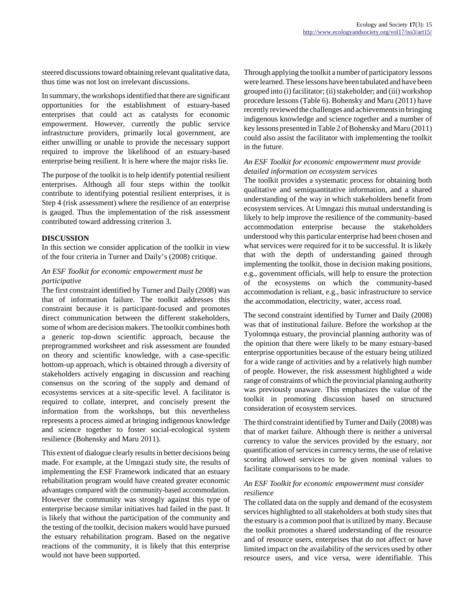steered discussions toward obtaining relevant qualitative data, thus time was not lost on irrelevant discussions.

In summary, the workshops identified that there are significant opportunities for the establishment of estuary-based enterprises that could act as catalysts for economic empowerment. However, currently the public service infrastructure providers, primarily local government, are either unwilling or unable to provide the necessary support required to improve the likelihood of an estuary-based enterprise being resilient. It is here where the major risks lie.

The purpose of the toolkit is to help identify potential resilient enterprises. Although all four steps within the toolkit contribute to identifying potential resilient enterprises, it is Step 4 (risk assessment) where the resilience of an enterprise is gauged. Thus the implementation of the risk assessment contributed toward addressing criterion 3.

#### **DISCUSSION**

In this section we consider application of the toolkit in view of the four criteria in Turner and Daily's (2008) critique.

# *An ESF Toolkit for economic empowerment must be participative*

The first constraint identified by Turner and Daily (2008) was that of information failure. The toolkit addresses this constraint because it is participant-focused and promotes direct communication between the different stakeholders, some of whom are decision makers. The toolkit combines both a generic top-down scientific approach, because the preprogrammed worksheet and risk assessment are founded on theory and scientific knowledge, with a case-specific bottom-up approach, which is obtained through a diversity of stakeholders actively engaging in discussion and reaching consensus on the scoring of the supply and demand of ecosystems services at a site-specific level. A facilitator is required to collate, interpret, and concisely present the information from the workshops, but this nevertheless represents a process aimed at bringing indigenous knowledge and science together to foster social-ecological system resilience (Bohensky and Maru 2011).

This extent of dialogue clearly results in better decisions being made. For example, at the Umngazi study site, the results of implementing the ESF Framework indicated that an estuary rehabilitation program would have created greater economic advantages compared with the community-based accommodation. However the community was strongly against this type of enterprise because similar initiatives had failed in the past. It is likely that without the participation of the community and the testing of the toolkit, decision makers would have pursued the estuary rehabilitation program. Based on the negative reactions of the community, it is likely that this enterprise would not have been supported.

Through applying the toolkit a number of participatory lessons were learned. These lessons have been tabulated and have been grouped into (i) facilitator; (ii) stakeholder; and (iii) workshop procedure lessons (Table 6). Bohensky and Maru (2011) have recently reviewed the challenges and achievements in bringing indigenous knowledge and science together and a number of key lessons presented in Table 2 of Bohensky and Maru (2011) could also assist the facilitator with implementing the toolkit in the future.

# *An ESF Toolkit for economic empowerment must provide detailed information on ecosystem services*

The toolkit provides a systematic process for obtaining both qualitative and semiquantitative information, and a shared understanding of the way in which stakeholders benefit from ecosystem services. At Umngazi this mutual understanding is likely to help improve the resilience of the community-based accommodation enterprise because the stakeholders understood why this particular enterprise had been chosen and what services were required for it to be successful. It is likely that with the depth of understanding gained through implementing the toolkit, those in decision making positions, e.g., government officials, will help to ensure the protection of the ecosystems on which the community-based accommodation is reliant, e.g., basic infrastructure to service the accommodation, electricity, water, access road.

The second constraint identified by Turner and Daily (2008) was that of institutional failure. Before the workshop at the Tyolomnqa estuary, the provincial planning authority was of the opinion that there were likely to be many estuary-based enterprise opportunities because of the estuary being utilized for a wide range of activities and by a relatively high number of people. However, the risk assessment highlighted a wide range of constraints of which the provincial planning authority was previously unaware. This emphasizes the value of the toolkit in promoting discussion based on structured consideration of ecosystem services.

The third constraint identified by Turner and Daily (2008) was that of market failure. Although there is neither a universal currency to value the services provided by the estuary, nor quantification of services in currency terms, the use of relative scoring allowed services to be given nominal values to facilitate comparisons to be made.

#### *An ESF Toolkit for economic empowerment must consider resilience*

The collated data on the supply and demand of the ecosystem services highlighted to all stakeholders at both study sites that the estuary is a common pool that is utilized by many. Because the toolkit promotes a shared understanding of the resource and of resource users, enterprises that do not affect or have limited impact on the availability of the services used by other resource users, and vice versa, were identifiable. This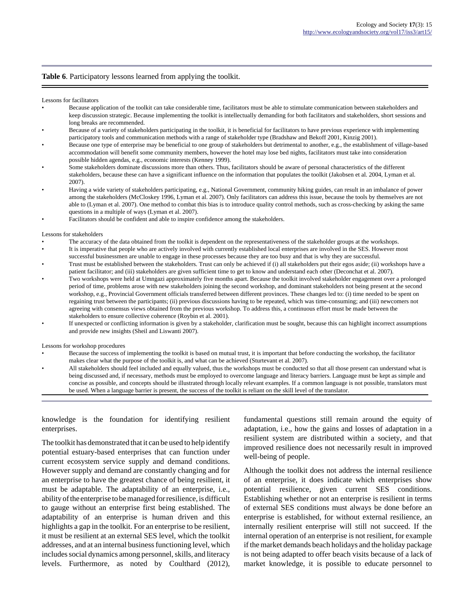#### **Table 6**. Participatory lessons learned from applying the toolkit.

Lessons for facilitators

- Because application of the toolkit can take considerable time, facilitators must be able to stimulate communication between stakeholders and keep discussion strategic. Because implementing the toolkit is intellectually demanding for both facilitators and stakeholders, short sessions and long breaks are recommended.
- Because of a variety of stakeholders participating in the toolkit, it is beneficial for facilitators to have previous experience with implementing participatory tools and communication methods with a range of stakeholder type (Bradshaw and Bekoff 2001, Kinzig 2001).
- Because one type of enterprise may be beneficial to one group of stakeholders but detrimental to another, e.g., the establishment of village-based accommodation will benefit some community members, however the hotel may lose bed nights, facilitators must take into consideration possible hidden agendas, e.g., economic interests (Kenney 1999).
- Some stakeholders dominate discussions more than others. Thus, facilitators should be aware of personal characteristics of the different stakeholders, because these can have a significant influence on the information that populates the toolkit (Jakobsen et al. 2004, Lyman et al. 2007).
- Having a wide variety of stakeholders participating, e.g., National Government, community hiking guides, can result in an imbalance of power among the stakeholders (McCloskey 1996, Lyman et al. 2007). Only facilitators can address this issue, because the tools by themselves are not able to (Lyman et al. 2007). One method to combat this bias is to introduce quality control methods, such as cross-checking by asking the same questions in a multiple of ways (Lyman et al. 2007).
- Facilitators should be confident and able to inspire confidence among the stakeholders.

Lessons for stakeholders

- The accuracy of the data obtained from the toolkit is dependent on the representativeness of the stakeholder groups at the workshops.
- It is imperative that people who are actively involved with currently established local enterprises are involved in the SES. However most successful businessmen are unable to engage in these processes because they are too busy and that is why they are successful.
- Trust must be established between the stakeholders. Trust can only be achieved if (i) all stakeholders put their egos aside; (ii) workshops have a patient facilitator; and (iii) stakeholders are given sufficient time to get to know and understand each other (Deconchat et al. 2007).
- Two workshops were held at Umngazi approximately five months apart. Because the toolkit involved stakeholder engagement over a prolonged period of time, problems arose with new stakeholders joining the second workshop, and dominant stakeholders not being present at the second workshop, e.g., Provincial Government officials transferred between different provinces. These changes led to: (i) time needed to be spent on regaining trust between the participants; (ii) previous discussions having to be repeated, which was time-consuming; and (iii) newcomers not agreeing with consensus views obtained from the previous workshop. To address this, a continuous effort must be made between the stakeholders to ensure collective coherence (Roybin et al. 2001).
- If unexpected or conflicting information is given by a stakeholder, clarification must be sought, because this can highlight incorrect assumptions and provide new insights (Sheil and Liswanti 2007).

Lessons for workshop procedures

- Because the success of implementing the toolkit is based on mutual trust, it is important that before conducting the workshop, the facilitator makes clear what the purpose of the toolkit is, and what can be achieved (Sturtevant et al. 2007).
- All stakeholders should feel included and equally valued, thus the workshops must be conducted so that all those present can understand what is being discussed and, if necessary, methods must be employed to overcome language and literacy barriers. Language must be kept as simple and concise as possible, and concepts should be illustrated through locally relevant examples. If a common language is not possible, translators must be used. When a language barrier is present, the success of the toolkit is reliant on the skill level of the translator.

knowledge is the foundation for identifying resilient enterprises.

The toolkit has demonstrated that it can be used to help identify potential estuary-based enterprises that can function under current ecosystem service supply and demand conditions. However supply and demand are constantly changing and for an enterprise to have the greatest chance of being resilient, it must be adaptable. The adaptability of an enterprise, i.e., ability of the enterprise to be managed for resilience, is difficult to gauge without an enterprise first being established. The adaptability of an enterprise is human driven and this highlights a gap in the toolkit. For an enterprise to be resilient, it must be resilient at an external SES level, which the toolkit addresses, and at an internal business functioning level, which includes social dynamics among personnel, skills, and literacy levels. Furthermore, as noted by Coulthard (2012),

fundamental questions still remain around the equity of adaptation, i.e., how the gains and losses of adaptation in a resilient system are distributed within a society, and that improved resilience does not necessarily result in improved well-being of people.

Although the toolkit does not address the internal resilience of an enterprise, it does indicate which enterprises show potential resilience, given current SES conditions. Establishing whether or not an enterprise is resilient in terms of external SES conditions must always be done before an enterprise is established, for without external resilience, an internally resilient enterprise will still not succeed. If the internal operation of an enterprise is not resilient, for example if the market demands beach holidays and the holiday package is not being adapted to offer beach visits because of a lack of market knowledge, it is possible to educate personnel to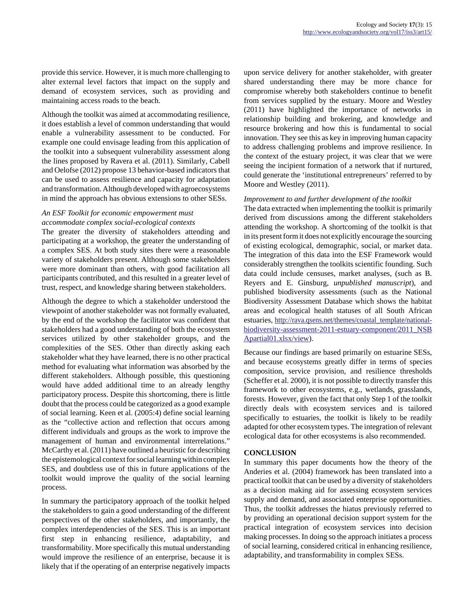provide this service. However, it is much more challenging to alter external level factors that impact on the supply and demand of ecosystem services, such as providing and maintaining access roads to the beach.

Although the toolkit was aimed at accommodating resilience, it does establish a level of common understanding that would enable a vulnerability assessment to be conducted. For example one could envisage leading from this application of the toolkit into a subsequent vulnerability assessment along the lines proposed by Ravera et al. (2011). Similarly, Cabell and Oelofse (2012) propose 13 behavior-based indicators that can be used to assess resilience and capacity for adaptation and transformation. Although developed with agroecosystems in mind the approach has obvious extensions to other SESs.

# *An ESF Toolkit for economic empowerment must accommodate complex social-ecological contexts*

The greater the diversity of stakeholders attending and participating at a workshop, the greater the understanding of a complex SES. At both study sites there were a reasonable variety of stakeholders present. Although some stakeholders were more dominant than others, with good facilitation all participants contributed, and this resulted in a greater level of trust, respect, and knowledge sharing between stakeholders.

Although the degree to which a stakeholder understood the viewpoint of another stakeholder was not formally evaluated, by the end of the workshop the facilitator was confident that stakeholders had a good understanding of both the ecosystem services utilized by other stakeholder groups, and the complexities of the SES. Other than directly asking each stakeholder what they have learned, there is no other practical method for evaluating what information was absorbed by the different stakeholders. Although possible, this questioning would have added additional time to an already lengthy participatory process. Despite this shortcoming, there is little doubt that the process could be categorized as a good example of social learning. Keen et al. (2005:4) define social learning as the "collective action and reflection that occurs among different individuals and groups as the work to improve the management of human and environmental interrelations." McCarthy et al. (2011) have outlined a heuristic for describing the epistemological context for social learning within complex SES, and doubtless use of this in future applications of the toolkit would improve the quality of the social learning process.

In summary the participatory approach of the toolkit helped the stakeholders to gain a good understanding of the different perspectives of the other stakeholders, and importantly, the complex interdependencies of the SES. This is an important first step in enhancing resilience, adaptability, and transformability. More specifically this mutual understanding would improve the resilience of an enterprise, because it is likely that if the operating of an enterprise negatively impacts upon service delivery for another stakeholder, with greater shared understanding there may be more chance for compromise whereby both stakeholders continue to benefit from services supplied by the estuary. Moore and Westley (2011) have highlighted the importance of networks in relationship building and brokering, and knowledge and resource brokering and how this is fundamental to social innovation. They see this as key in improving human capacity to address challenging problems and improve resilience. In the context of the estuary project, it was clear that we were seeing the incipient formation of a network that if nurtured, could generate the 'institutional entrepreneurs' referred to by Moore and Westley (2011).

#### *Improvement to and further development of the toolkit*

The data extracted when implementing the toolkit is primarily derived from discussions among the different stakeholders attending the workshop. A shortcoming of the toolkit is that in its present form it does not explicitly encourage the sourcing of existing ecological, demographic, social, or market data. The integration of this data into the ESF Framework would considerably strengthen the toolkits scientific founding. Such data could include censuses, market analyses, (such as B. Reyers and E. Ginsburg, *unpublished manuscript*), and published biodiversity assessments (such as the National Biodiversity Assessment Database which shows the habitat areas and ecological health statuses of all South African estuaries, [http://rava.qsens.net/themes/coastal\\_template/national](http://rava.qsens.net/themes/coastal_template/national-biodiversity-assessment-2011-estuary-component/2011_NSBApartial01.xlsx/view)[biodiversity-assessment-2011-estuary-component/2011\\_NSB](http://rava.qsens.net/themes/coastal_template/national-biodiversity-assessment-2011-estuary-component/2011_NSBApartial01.xlsx/view) [Apartial01.xlsx/view](http://rava.qsens.net/themes/coastal_template/national-biodiversity-assessment-2011-estuary-component/2011_NSBApartial01.xlsx/view)).

Because our findings are based primarily on estuarine SESs, and because ecosystems greatly differ in terms of species composition, service provision, and resilience thresholds (Scheffer et al. 2000), it is not possible to directly transfer this framework to other ecosystems, e.g., wetlands, grasslands, forests. However, given the fact that only Step 1 of the toolkit directly deals with ecosystem services and is tailored specifically to estuaries, the toolkit is likely to be readily adapted for other ecosystem types. The integration of relevant ecological data for other ecosystems is also recommended.

# **CONCLUSION**

In summary this paper documents how the theory of the Anderies et al. (2004) framework has been translated into a practical toolkit that can be used by a diversity of stakeholders as a decision making aid for assessing ecosystem services supply and demand, and associated enterprise opportunities. Thus, the toolkit addresses the hiatus previously referred to by providing an operational decision support system for the practical integration of ecosystem services into decision making processes. In doing so the approach initiates a process of social learning, considered critical in enhancing resilience, adaptability, and transformability in complex SESs.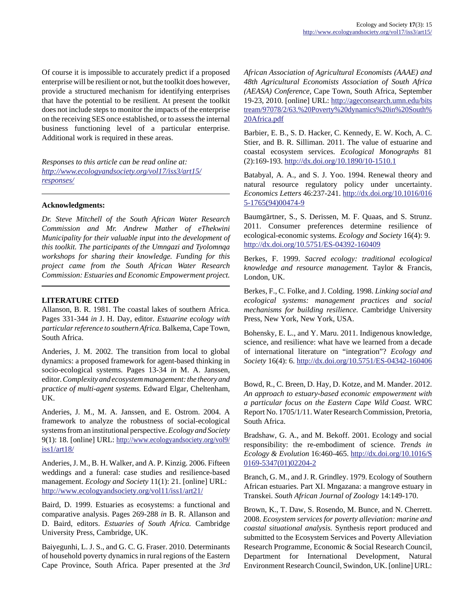Of course it is impossible to accurately predict if a proposed enterprise will be resilient or not, but the toolkit does however, provide a structured mechanism for identifying enterprises that have the potential to be resilient. At present the toolkit does not include steps to monitor the impacts of the enterprise on the receiving SES once established, or to assess the internal business functioning level of a particular enterprise. Additional work is required in these areas.

*Responses to this article can be read online at: [http://www](http://www.ecologyandsociety.org/vol17/iss3/art15/responses/).ecologyandsociety.org/vol17/iss3/art15/ responses/*

#### **Acknowledgments:**

*Dr. Steve Mitchell of the South African Water Research Commission and Mr. Andrew Mather of eThekwini Municipality for their valuable input into the development of this toolkit. The participants of the Umngazi and Tyolomnqa workshops for sharing their knowledge. Funding for this project came from the South African Water Research Commission: Estuaries and Economic Empowerment project.*

#### **LITERATURE CITED**

Allanson, B. R. 1981. The coastal lakes of southern Africa. Pages 331-344 *in* J. H. Day, editor. *Estuarine ecology with particular reference to southern Africa.* Balkema, Cape Town, South Africa.

Anderies, J. M. 2002. The transition from local to global dynamics: a proposed framework for agent-based thinking in socio-ecological systems. Pages 13-34 *in* M. A. Janssen, editor. *Complexity and ecosystem management: the theory and practice of multi-agent systems.* Edward Elgar, Cheltenham, UK.

Anderies, J. M., M. A. Janssen, and E. Ostrom. 2004. A framework to analyze the robustness of social-ecological systems from an institutional perspective. *Ecology and Society* 9(1): 18. [online] URL: [http://www.ecologyandsociety.org/vol9/](http://www.ecologyandsociety.org/vol9/iss1/art18/) [iss1/art18/](http://www.ecologyandsociety.org/vol9/iss1/art18/)

Anderies, J. M., B. H. Walker, and A. P. Kinzig. 2006. Fifteen weddings and a funeral: case studies and resilience-based management. *Ecology and Society* 11(1): 21. [online] URL: <http://www.ecologyandsociety.org/vol11/iss1/art21/>

Baird, D. 1999. Estuaries as ecosystems: a functional and comparative analysis. Pages 269-288 *in* B. R. Allanson and D. Baird, editors. *Estuaries of South Africa.* Cambridge University Press, Cambridge, UK.

Baiyegunhi, L. J. S., and G. C. G. Fraser. 2010. Determinants of household poverty dynamics in rural regions of the Eastern Cape Province, South Africa. Paper presented at the *3rd* *African Association of Agricultural Economists (AAAE) and 48th Agricultural Economists Association of South Africa (AEASA) Conference,* Cape Town, South Africa, September 19-23, 2010. [online] URL: [http://ageconsearch.umn.edu/bits](http://ageconsearch.umn.edu/bitstream/97078/2/63.%20Poverty%20dynamics%20in%20South%20Africa.pdf) tream/97078/2/63.%20Poverty%20dynamics%20in%20South% [20Africa.pdf](http://ageconsearch.umn.edu/bitstream/97078/2/63.%20Poverty%20dynamics%20in%20South%20Africa.pdf)

Barbier, E. B., S. D. Hacker, C. Kennedy, E. W. Koch, A. C. Stier, and B. R. Silliman. 2011. The value of estuarine and coastal ecosystem services. *Ecological Monographs* 81 (2):169-193. <http://dx.doi.org/10.1890/10-1510.1>

Batabyal, A. A., and S. J. Yoo. 1994. Renewal theory and natural resource regulatory policy under uncertainty. *Economics Letters* 46:237-241. [http://dx.doi.org/10.1016/016](http://dx.doi.org/10.1016/0165-1765(94)00474-9) [5-1765\(94\)00474-9](http://dx.doi.org/10.1016/0165-1765(94)00474-9)

Baumgärtner, S., S. Derissen, M. F. Quaas, and S. Strunz. 2011. Consumer preferences determine resilience of ecological-economic systems. *Ecology and Society* 16(4): 9. <http://dx.doi.org/10.5751/ES-04392-160409>

Berkes, F. 1999. *Sacred ecology: traditional ecological knowledge and resource management.* Taylor & Francis, London, UK.

Berkes, F., C. Folke, and J. Colding. 1998. *Linking social and ecological systems: management practices and social mechanisms for building resilience.* Cambridge University Press, New York, New York, USA.

Bohensky, E. L., and Y. Maru. 2011. Indigenous knowledge, science, and resilience: what have we learned from a decade of international literature on "integration"? *Ecology and Society* 16(4): 6.<http://dx.doi.org/10.5751/ES-04342-160406>

Bowd, R., C. Breen, D. Hay, D. Kotze, and M. Mander. 2012. *An approach to estuary-based economic empowerment with a particular focus on the Eastern Cape Wild Coast.* WRC Report No. 1705/1/11. Water Research Commission, Pretoria, South Africa.

Bradshaw, G. A., and M. Bekoff. 2001. Ecology and social responsibility: the re-embodiment of science. *Trends in Ecology & Evolution* 16:460-465. [http://dx.doi.org/10.1016/S](http://dx.doi.org/10.1016/S0169-5347(01)02204-2) [0169-5347\(01\)02204-2](http://dx.doi.org/10.1016/S0169-5347(01)02204-2)

Branch, G. M., and J. R. Grindley. 1979. Ecology of Southern African estuaries. Part XI. Mngazana: a mangrove estuary in Transkei. *South African Journal of Zoology* 14:149-170.

Brown, K., T. Daw, S. Rosendo, M. Bunce, and N. Cherrett. 2008. *Ecosystem services for poverty alleviation: marine and coastal situational analysis.* Synthesis report produced and submitted to the Ecosystem Services and Poverty Alleviation Research Programme, Economic & Social Research Council, Department for International Development, Natural Environment Research Council, Swindon, UK. [online] URL: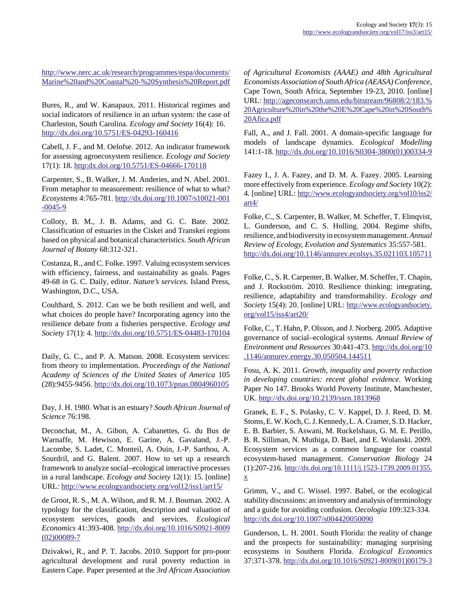[http://www.nerc.ac.uk/research/programmes/espa/documents/](http://www.nerc.ac.uk/research/programmes/espa/documents/Marine%20and%20Coastal%20-%20Synthesis%20Report.pdf) [Marine%20and%20Coastal%20-%20Synthesis%20Report.pdf](http://www.nerc.ac.uk/research/programmes/espa/documents/Marine%20and%20Coastal%20-%20Synthesis%20Report.pdf)

Bures, R., and W. Kanapaux. 2011. Historical regimes and social indicators of resilience in an urban system: the case of Charleston, South Carolina. *Ecology and Society* 16(4): 16. <http://dx.doi.org/10.5751/ES-04293-160416>

Cabell, J. F., and M. Oelofse. 2012. An indicator framework for assessing agroecosystem resilience. *Ecology and Society* 17(1): 18. [http:dx.doi.org/10.5751/ES-04666-170118](http://http:dx.doi.org/10.5751/ES-04666-170118) 

Carpenter, S., B. Walker, J. M. Anderies, and N. Abel. 2001. From metaphor to measurement: resilience of what to what? *Ecosystems* 4:765-781. [http://dx.doi.org/10.1007/s10021-001](http://dx.doi.org/10.1007/s10021-001-0045-9)  $-0045-9$ 

Colloty, B. M., J. B. Adams, and G. C. Bate. 2002. Classification of estuaries in the Ciskei and Transkei regions based on physical and botanical characteristics. *South African Journal of Botany* 68:312-321.

Costanza, R., and C. Folke. 1997. Valuing ecosystem services with efficiency, fairness, and sustainability as goals. Pages 49-68 *in* G. C. Daily, editor. *Nature's services.* Island Press, Washington, D.C., USA.

Coulthard, S. 2012. Can we be both resilient and well, and what choices do people have? Incorporating agency into the resilience debate from a fisheries perspective. *Ecology and Society* 17(1): 4.<http://dx.doi.org/10.5751/ES-04483-170104>

Daily, G. C., and P. A. Matson. 2008. Ecosystem services: from theory to implementation. *Proceedings of the National Academy of Sciences of the United States of America* 105 (28):9455-9456. <http://dx.doi.org/10.1073/pnas.0804960105>

Day, J. H. 1980. What is an estuary? *South African Journal of Science* 76:198.

Deconchat, M., A. Gibon, A. Cabanettes, G. du Bus de Warnaffe, M. Hewison, E. Garine, A. Gavaland, J.-P. Lacombe, S. Ladet, C. Monteil, A. Ouin, J.-P. Sarthou, A. Sourdril, and G. Balent. 2007. How to set up a research framework to analyze social–ecological interactive processes in a rural landscape. *Ecology and Society* 12(1): 15. [online] URL:<http://www.ecologyandsociety.org/vol12/iss1/art15/>

de Groot, R. S., M. A. Wilson, and R. M. J. Bouman. 2002. A typology for the classification, description and valuation of ecosystem services, goods and services. *Ecological Economics* 41:393-408. [http://dx.doi.org/10.1016/S0921-8009](http://dx.doi.org/10.1016/S0921-8009(02)00089-7) [\(02\)00089-7](http://dx.doi.org/10.1016/S0921-8009(02)00089-7)

Dzivakwi, R., and P. T. Jacobs. 2010. Support for pro-poor agricultural development and rural poverty reduction in Eastern Cape. Paper presented at the *3rd African Association* *of Agricultural Economists (AAAE) and 48th Agricultural Economists Association of South Africa (AEASA) Conference,* Cape Town, South Africa, September 19-23, 2010. [online] URL: [http://ageconsearch.umn.edu/bitstream/96808/2/183.%](http://ageconsearch.umn.edu/bitstream/96808/2/183.%20Agriculture%20in%20the%20E%20Cape%20in%20South%20Afica.pdf) [20Agriculture%20in%20the%20E%20Cape%20in%20South%](http://ageconsearch.umn.edu/bitstream/96808/2/183.%20Agriculture%20in%20the%20E%20Cape%20in%20South%20Afica.pdf) [20Afica.pdf](http://ageconsearch.umn.edu/bitstream/96808/2/183.%20Agriculture%20in%20the%20E%20Cape%20in%20South%20Afica.pdf)

Fall, A., and J. Fall. 2001. A domain-specific language for models of landscape dynamics. *Ecological Modelling* 141:1-18. [http://dx.doi.org/10.1016/S0304-3800\(01\)00334-9](http://dx.doi.org/10.1016/S0304-3800(01)00334-9)

Fazey I., J. A. Fazey, and D. M. A. Fazey. 2005. Learning more effectively from experience. *Ecology and Society* 10(2): 4. [online] URL: [http://www.ecologyandsociety.org/vol10/iss2/](http://www.ecologyandsociety.org/vol10/iss2/art4/) [art4/](http://www.ecologyandsociety.org/vol10/iss2/art4/)

Folke, C., S. Carpenter, B. Walker, M. Scheffer, T. Elmqvist, L. Gunderson, and C. S. Holling. 2004. Regime shifts, resilience, and biodiversity in ecosystem management. *Annual Review of Ecology, Evolution and Systematics* 35:557-581. <http://dx.doi.org/10.1146/annurev.ecolsys.35.021103.105711>

Folke, C., S. R. Carpenter, B. Walker, M. Scheffer, T. Chapin, and J. Rockström. 2010. Resilience thinking: integrating, resilience, adaptability and transformability. *Ecology and Society* 15(4): 20. [online] URL: [http://www.ecologyandsociety.](http://www.ecologyandsociety.org/vol15/iss4/art20/) [org/vol15/iss4/art20/](http://www.ecologyandsociety.org/vol15/iss4/art20/)

Folke, C., T. Hahn, P. Olsson, and J. Norberg. 2005. Adaptive governance of social–ecological systems. *Annual Review of Environment and Resources* 30:441-473. [http://dx.doi.org/10](http://dx.doi.org/10.1146/annurev.energy.30.050504.144511) [.1146/annurev.energy.30.050504.144511](http://dx.doi.org/10.1146/annurev.energy.30.050504.144511)

Fosu, A. K. 2011. *Growth, inequality and poverty reduction in developing countries: recent global evidence.* Working Paper No 147. Brooks World Poverty Institute, Manchester, UK.<http://dx.doi.org/10.2139/ssrn.1813968>

Granek, E. F., S. Polasky, C. V. Kappel, D. J. Reed, D. M. Stoms, E. W. Koch, C. J. Kennedy, L. A. Cramer, S. D. Hacker, E. B. Barbier, S. Aswani, M. Ruckelshaus, G. M. E. Perillo, B. R. Silliman, N. Muthiga, D. Bael, and E. Wolanski. 2009. Ecosystem services as a common language for coastal ecosystem-based management. *Conservation Biology* 24 (1):207-216. [http://dx.doi.org/10.1111/j.1523-1739.2009.01355.](http://dx.doi.org/10.1111/j.1523-1739.2009.01355.x) [x](http://dx.doi.org/10.1111/j.1523-1739.2009.01355.x)

Grimm, V., and C. Wissel. 1997. Babel, or the ecological stability discussions: an inventory and analysis of terminology and a guide for avoiding confusion. *Oecologia* 109:323-334. <http://dx.doi.org/10.1007/s004420050090>

Gunderson, L. H. 2001. South Florida: the reality of change and the prospects for sustainability: managing surprising ecosystems in Southern Florida. *Ecological Economics* 37:371-378. [http://dx.doi.org/10.1016/S0921-8009\(01\)00179-3](http://dx.doi.org/10.1016/S0921-8009(01)00179-3)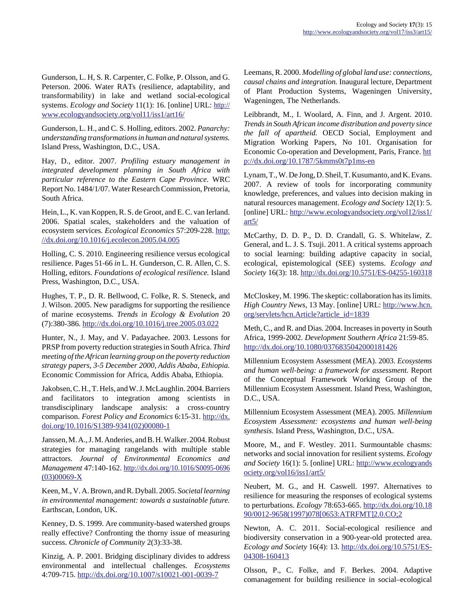Gunderson, L. H, S. R. Carpenter, C. Folke, P. Olsson, and G. Peterson. 2006. Water RATs (resilience, adaptability, and transformability) in lake and wetland social-ecological systems. *Ecology and Society* 11(1): 16. [online] URL: [http://](http://www.ecologyandsociety.org/vol11/iss1/art16/) [www.ecologyandsociety.org/vol11/iss1/art16/](http://www.ecologyandsociety.org/vol11/iss1/art16/)

Gunderson, L. H., and C. S. Holling, editors. 2002. *Panarchy: understanding transformations in human and natural systems.* Island Press, Washington, D.C., USA.

Hay, D., editor. 2007. *Profiling estuary management in integrated development planning in South Africa with particular reference to the Eastern Cape Province.* WRC Report No. 1484/1/07. Water Research Commission, Pretoria, South Africa.

Hein, L., K. van Koppen, R. S. de Groot, and E. C. van Ierland. 2006. Spatial scales, stakeholders and the valuation of ecosystem services. *Ecological Economics* 57:209-228. [http:](http://dx.doi.org/10.1016/j.ecolecon.2005.04.005) [//dx.doi.org/10.1016/j.ecolecon.2005.04.005](http://dx.doi.org/10.1016/j.ecolecon.2005.04.005)

Holling, C. S. 2010. Engineering resilience versus ecological resilience. Pages 51-66 *in* L. H. Gunderson, C. R. Allen, C. S. Holling, editors. *Foundations of ecological resilience.* Island Press, Washington, D.C., USA.

Hughes, T. P., D. R. Bellwood, C. Folke, R. S. Steneck, and J. Wilson. 2005. New paradigms for supporting the resilience of marine ecosystems. *Trends in Ecology & Evolution* 20 (7):380-386. <http://dx.doi.org/10.1016/j.tree.2005.03.022>

Hunter, N., J. May, and V. Padayachee. 2003. Lessons for PRSP from poverty reduction strategies in South Africa. *Third meeting of the African learning group on the poverty reduction strategy papers, 3-5 December 2000, Addis Ababa, Ethiopia.* Economic Commission for Africa, Addis Ababa, Ethiopia.

Jakobsen, C. H., T. Hels, and W. J. McLaughlin. 2004. Barriers and facilitators to integration among scientists in transdisciplinary landscape analysis: a cross-country comparison. *Forest Policy and Economics* 6:15-31. [http://dx.](http://dx.doi.org/10.1016/S1389-9341(02)00080-1) [doi.org/10.1016/S1389-9341\(02\)00080-1](http://dx.doi.org/10.1016/S1389-9341(02)00080-1)

Janssen, M. A., J. M. Anderies, and B. H. Walker. 2004. Robust strategies for managing rangelands with multiple stable attractors. *Journal of Environmental Economics and Management* 47:140-162. [http://dx.doi.org/10.1016/S0095-0696](http://dx.doi.org/10.1016/S0095-0696(03)00069-X) [\(03\)00069-X](http://dx.doi.org/10.1016/S0095-0696(03)00069-X)

Keen, M., V. A. Brown, and R. Dyball. 2005. *Societal learning in environmental management: towards a sustainable future.* Earthscan, London, UK.

Kenney, D. S. 1999. Are community-based watershed groups really effective? Confronting the thorny issue of measuring success. *Chronicle of Community* 2(3):33-38.

Kinzig, A. P. 2001. Bridging disciplinary divides to address environmental and intellectual challenges. *Ecosystems* 4:709-715.<http://dx.doi.org/10.1007/s10021-001-0039-7>

Leemans, R. 2000. *Modelling of global land use: connections, causal chains and integration.* Inaugural lecture, Department of Plant Production Systems, Wageningen University, Wageningen, The Netherlands.

Leibbrandt, M., I. Woolard, A. Finn, and J. Argent. 2010. *Trends in South African income distribution and poverty since the fall of apartheid.* OECD Social, Employment and Migration Working Papers, No 101. Organisation for Economic Co-operation and Development, Paris, France. [htt](http://dx.doi.org/10.1787/5kmms0t7p1ms-en) [p://dx.doi.org/10.1787/5kmms0t7p1ms-en](http://dx.doi.org/10.1787/5kmms0t7p1ms-en)

Lynam, T., W. De Jong, D. Sheil, T. Kusumanto, and K. Evans. 2007. A review of tools for incorporating community knowledge, preferences, and values into decision making in natural resources management. *Ecology and Society* 12(1): 5. [online] URL: [http://www.ecologyandsociety.org/vol12/iss1/](http://www.ecologyandsociety.org/vol12/iss1/art5/) [art5/](http://www.ecologyandsociety.org/vol12/iss1/art5/)

McCarthy, D. D. P., D. D. Crandall, G. S. Whitelaw, Z. General, and L. J. S. Tsuji. 2011. A critical systems approach to social learning: building adaptive capacity in social, ecological, epistemological (SEE) systems. *Ecology and Society* 16(3): 18.<http://dx.doi.org/10.5751/ES-04255-160318>

McCloskey, M. 1996. The skeptic: collaboration has its limits. *High Country News,* 13 May. [online] URL: [http://www.hcn.](http://www.hcn.org/servlets/hcn.Article?article_id=1839) [org/servlets/hcn.Article?article\\_id=1839](http://www.hcn.org/servlets/hcn.Article?article_id=1839)

Meth, C., and R. and Dias. 2004. Increases in poverty in South Africa, 1999-2002. *Development Southern Africa* 21:59-85. <http://dx.doi.org/10.1080/0376835042000181426>

Millennium Ecosystem Assessment (MEA). 2003. *Ecosystems and human well-being: a framework for assessment.* Report of the Conceptual Framework Working Group of the Millennium Ecosystem Assessment. Island Press, Washington, D.C., USA.

Millennium Ecosystem Assessment (MEA). 2005. *Millennium Ecosystem Assessment: ecosystems and human well-being synthesis.* Island Press, Washington, D.C., USA.

Moore, M., and F. Westley. 2011. Surmountable chasms: networks and social innovation for resilient systems. *Ecology and Society* 16(1): 5. [online] URL: [http://www.ecologyands](http://www.ecologyandsociety.org/vol16/iss1/art5/) [ociety.org/vol16/iss1/art5/](http://www.ecologyandsociety.org/vol16/iss1/art5/)

Neubert, M. G., and H. Caswell. 1997. Alternatives to resilience for measuring the responses of ecological systems to perturbations. *Ecology* 78:653-665. [http://dx.doi.org/10.18](http://dx.doi.org/10.1890/0012-9658(1997)078[0653:ATRFMT]2.0.CO;2) [90/0012-9658\(1997\)078\[0653:ATRFMT\]2.0.CO;2](http://dx.doi.org/10.1890/0012-9658(1997)078[0653:ATRFMT]2.0.CO;2)

Newton, A. C. 2011. Social-ecological resilience and biodiversity conservation in a 900-year-old protected area. *Ecology and Society* 16(4): 13. [http://dx.doi.org/10.5751/ES-](http://dx.doi.org/10.5751/ES-04308-160413)[04308-160413](http://dx.doi.org/10.5751/ES-04308-160413)

Olsson, P., C. Folke, and F. Berkes. 2004. Adaptive comanagement for building resilience in social–ecological